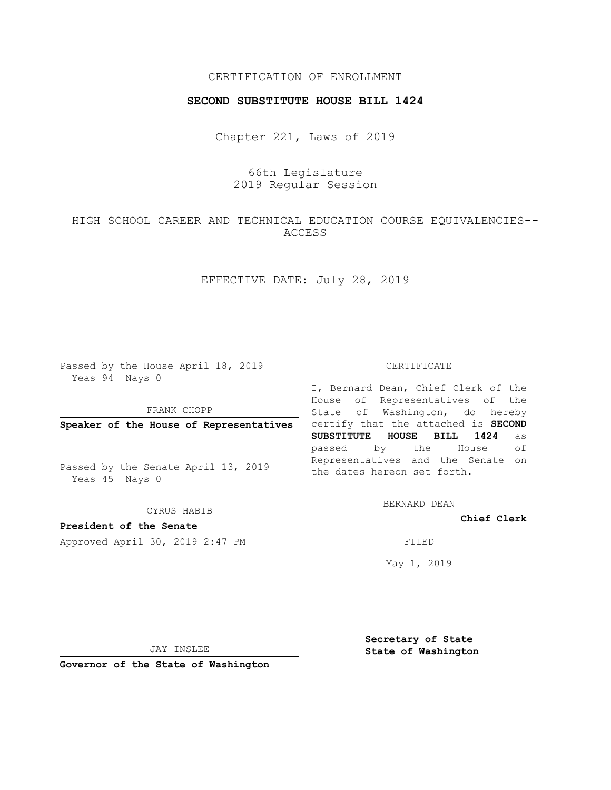## CERTIFICATION OF ENROLLMENT

#### **SECOND SUBSTITUTE HOUSE BILL 1424**

Chapter 221, Laws of 2019

# 66th Legislature 2019 Regular Session

# HIGH SCHOOL CAREER AND TECHNICAL EDUCATION COURSE EQUIVALENCIES-- ACCESS

# EFFECTIVE DATE: July 28, 2019

Passed by the House April 18, 2019 Yeas 94 Nays 0

FRANK CHOPP

**Speaker of the House of Representatives**

Passed by the Senate April 13, 2019 Yeas 45 Nays 0

CYRUS HABIB

**President of the Senate**

Approved April 30, 2019 2:47 PM FILED

#### CERTIFICATE

I, Bernard Dean, Chief Clerk of the House of Representatives of the State of Washington, do hereby certify that the attached is **SECOND SUBSTITUTE HOUSE BILL 1424** as passed by the House of Representatives and the Senate on the dates hereon set forth.

BERNARD DEAN

**Chief Clerk**

May 1, 2019

JAY INSLEE

**Governor of the State of Washington**

**Secretary of State State of Washington**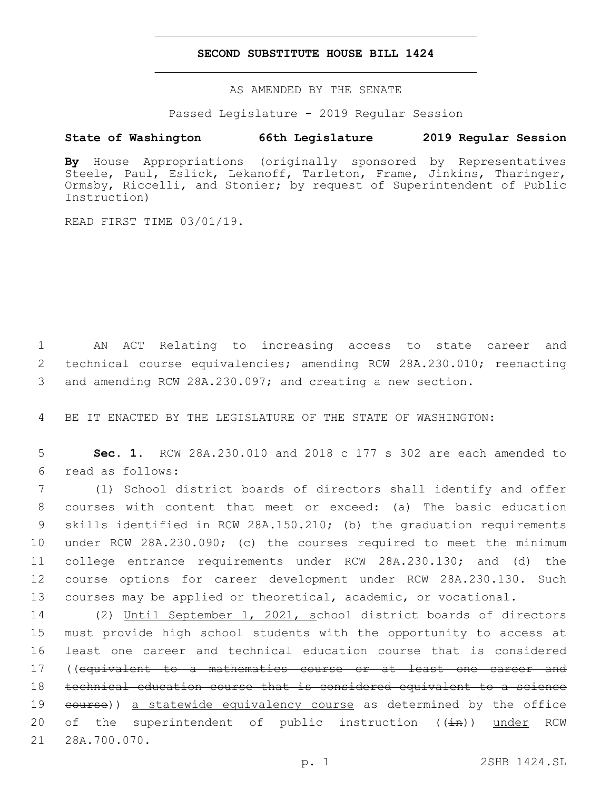#### **SECOND SUBSTITUTE HOUSE BILL 1424**

AS AMENDED BY THE SENATE

Passed Legislature - 2019 Regular Session

## **State of Washington 66th Legislature 2019 Regular Session**

**By** House Appropriations (originally sponsored by Representatives Steele, Paul, Eslick, Lekanoff, Tarleton, Frame, Jinkins, Tharinger, Ormsby, Riccelli, and Stonier; by request of Superintendent of Public Instruction)

READ FIRST TIME 03/01/19.

1 AN ACT Relating to increasing access to state career and 2 technical course equivalencies; amending RCW 28A.230.010; reenacting 3 and amending RCW 28A.230.097; and creating a new section.

4 BE IT ENACTED BY THE LEGISLATURE OF THE STATE OF WASHINGTON:

5 **Sec. 1.** RCW 28A.230.010 and 2018 c 177 s 302 are each amended to read as follows:6

 (1) School district boards of directors shall identify and offer courses with content that meet or exceed: (a) The basic education skills identified in RCW 28A.150.210; (b) the graduation requirements under RCW 28A.230.090; (c) the courses required to meet the minimum college entrance requirements under RCW 28A.230.130; and (d) the course options for career development under RCW 28A.230.130. Such courses may be applied or theoretical, academic, or vocational.

 (2) Until September 1, 2021, school district boards of directors must provide high school students with the opportunity to access at least one career and technical education course that is considered ((equivalent to a mathematics course or at least one career and technical education course that is considered equivalent to a science 19 eourse)) a statewide equivalency course as determined by the office 20 of the superintendent of public instruction ((in)) under RCW 21 28A.700.070.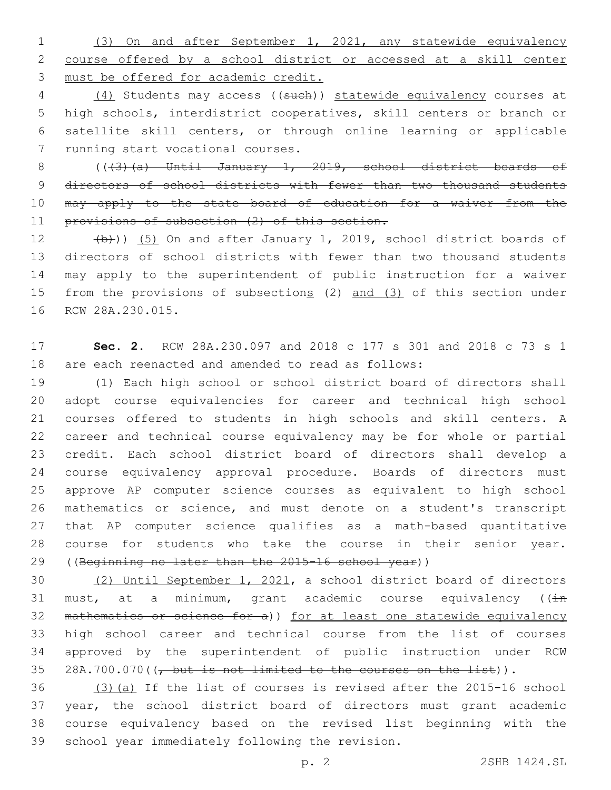(3) On and after September 1, 2021, any statewide equivalency course offered by a school district or accessed at a skill center must be offered for academic credit.

4 (4) Students may access ((such)) statewide equivalency courses at high schools, interdistrict cooperatives, skill centers or branch or satellite skill centers, or through online learning or applicable 7 running start vocational courses.

 (((3)(a) Until January 1, 2019, school district boards of 9 directors of school districts with fewer than two thousand students 10 may apply to the state board of education for a waiver from the 11 provisions of subsection (2) of this section.

12  $(b)$ )) (5) On and after January 1, 2019, school district boards of directors of school districts with fewer than two thousand students may apply to the superintendent of public instruction for a waiver 15 from the provisions of subsections (2) and (3) of this section under 16 RCW 28A.230.015.

 **Sec. 2.** RCW 28A.230.097 and 2018 c 177 s 301 and 2018 c 73 s 1 are each reenacted and amended to read as follows:

 (1) Each high school or school district board of directors shall adopt course equivalencies for career and technical high school courses offered to students in high schools and skill centers. A career and technical course equivalency may be for whole or partial credit. Each school district board of directors shall develop a course equivalency approval procedure. Boards of directors must approve AP computer science courses as equivalent to high school mathematics or science, and must denote on a student's transcript that AP computer science qualifies as a math-based quantitative course for students who take the course in their senior year. 29 ((Beginning no later than the 2015-16 school year))

 (2) Until September 1, 2021, a school district board of directors 31 must, at a minimum, grant academic course equivalency ( $(i+n)$  mathematics or science for a)) for at least one statewide equivalency high school career and technical course from the list of courses approved by the superintendent of public instruction under RCW  $28A.700.070$  ( $\sqrt{$  but is not limited to the courses on the list)).

 (3)(a) If the list of courses is revised after the 2015-16 school year, the school district board of directors must grant academic course equivalency based on the revised list beginning with the 39 school year immediately following the revision.